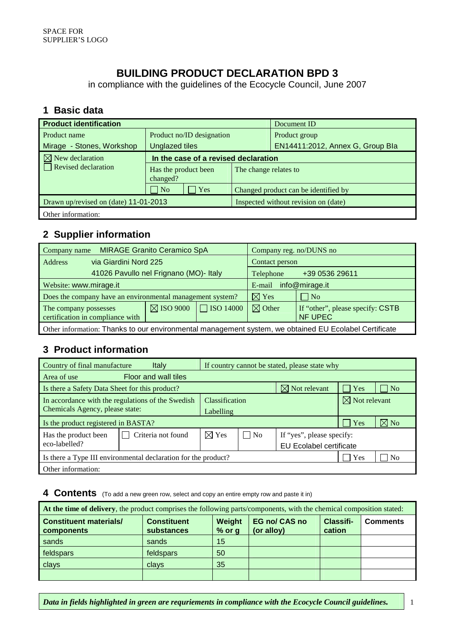### **BUILDING PRODUCT DECLARATION BPD 3**

in compliance with the guidelines of the Ecocycle Council, June 2007

#### **1 Basic data**

| <b>Product identification</b>         |                                      |                                      | Document ID |                                      |  |
|---------------------------------------|--------------------------------------|--------------------------------------|-------------|--------------------------------------|--|
| Product name                          | Product no/ID designation            |                                      |             | Product group                        |  |
| Mirage - Stones, Workshop             |                                      | <b>Unglazed tiles</b>                |             | EN14411:2012, Annex G, Group Bla     |  |
| $\boxtimes$ New declaration           | In the case of a revised declaration |                                      |             |                                      |  |
| $\Box$ Revised declaration            | changed?                             | Has the product been                 |             | The change relates to                |  |
|                                       | $ $ No                               | Yes                                  |             | Changed product can be identified by |  |
| Drawn up/revised on (date) 11-01-2013 |                                      | Inspected without revision on (date) |             |                                      |  |
| Other information:                    |                                      |                                      |             |                                      |  |

#### **2 Supplier information**

| <b>MIRAGE Granito Ceramico SpA</b><br>Company name                                                    |                                                           |                      | Company reg. no/DUNS no  |                   |                                                    |  |
|-------------------------------------------------------------------------------------------------------|-----------------------------------------------------------|----------------------|--------------------------|-------------------|----------------------------------------------------|--|
| via Giardini Nord 225<br><b>Address</b>                                                               |                                                           |                      | Contact person           |                   |                                                    |  |
|                                                                                                       | 41026 Pavullo nel Frignano (MO)- Italy                    |                      |                          | Telephone         | +39 0536 29611                                     |  |
| Website: www.mirage.it                                                                                |                                                           |                      | info@mirage.it<br>E-mail |                   |                                                    |  |
|                                                                                                       | Does the company have an environmental management system? |                      |                          | $\boxtimes$ Yes   | $\Box$ No                                          |  |
| The company possesses<br>certification in compliance with                                             |                                                           | $\boxtimes$ ISO 9000 | $\Box$ ISO 14000         | $\boxtimes$ Other | If "other", please specify: CSTB<br><b>NF UPEC</b> |  |
| Other information: Thanks to our environmental management system, we obtained EU Ecolabel Certificate |                                                           |                      |                          |                   |                                                    |  |

### **3 Product information**

| Country of final manufacture                                   | Italy                | If country cannot be stated, please state why |                         |                           |              |                  |
|----------------------------------------------------------------|----------------------|-----------------------------------------------|-------------------------|---------------------------|--------------|------------------|
| Area of use                                                    | Floor and wall tiles |                                               |                         |                           |              |                  |
| Is there a Safety Data Sheet for this product?                 |                      |                                               |                         | $\boxtimes$ Not relevant  | $  \;  $ Yes | $\overline{N_0}$ |
| In accordance with the regulations of the Swedish              | Classification       |                                               |                         | $\boxtimes$ Not relevant  |              |                  |
| Chemicals Agency, please state:                                |                      | Labelling                                     |                         |                           |              |                  |
| Is the product registered in BASTA?                            |                      |                                               |                         |                           | Yes          | $\nabla$ No      |
| Has the product been                                           | Criteria not found   | $\boxtimes$ Yes                               | $ $ No                  | If "yes", please specify: |              |                  |
| eco-labelled?                                                  |                      |                                               | EU Ecolabel certificate |                           |              |                  |
| Is there a Type III environmental declaration for the product? |                      |                                               |                         |                           | Yes          | N <sub>0</sub>   |
| Other information:                                             |                      |                                               |                         |                           |              |                  |

**4 Contents** (To add a new green row, select and copy an entire empty row and paste it in)

| At the time of delivery, the product comprises the following parts/components, with the chemical composition stated: |                                  |                    |                                    |                            |                 |  |  |
|----------------------------------------------------------------------------------------------------------------------|----------------------------------|--------------------|------------------------------------|----------------------------|-----------------|--|--|
| <b>Constituent materials/</b><br>components                                                                          | <b>Constituent</b><br>substances | Weight<br>$%$ or g | <b>EG no/ CAS no</b><br>(or alloy) | <b>Classifi-</b><br>cation | <b>Comments</b> |  |  |
| sands                                                                                                                | sands                            | 15                 |                                    |                            |                 |  |  |
| feldspars                                                                                                            | feldspars                        | 50                 |                                    |                            |                 |  |  |
| clays                                                                                                                | clays                            | 35                 |                                    |                            |                 |  |  |
|                                                                                                                      |                                  |                    |                                    |                            |                 |  |  |

*Data in fields highlighted in green are requriements in compliance with the Ecocycle Council guidelines.* 1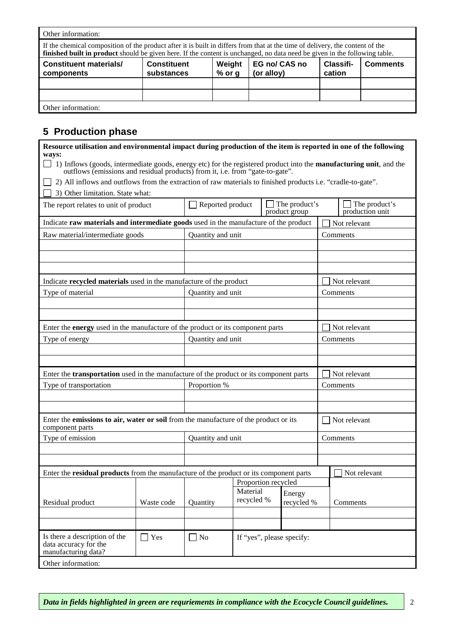| Other information:                                                                                                                                                                                                                                          |                                  |                    |                             |                     |                 |  |  |
|-------------------------------------------------------------------------------------------------------------------------------------------------------------------------------------------------------------------------------------------------------------|----------------------------------|--------------------|-----------------------------|---------------------|-----------------|--|--|
| If the chemical composition of the product after it is built in differs from that at the time of delivery, the content of the<br>finished built in product should be given here. If the content is unchanged, no data need be given in the following table. |                                  |                    |                             |                     |                 |  |  |
| <b>Constituent materials/</b><br>components                                                                                                                                                                                                                 | <b>Constituent</b><br>substances | Weight<br>$%$ or g | EG no/ CAS no<br>(or alloy) | Classifi-<br>cation | <b>Comments</b> |  |  |
|                                                                                                                                                                                                                                                             |                                  |                    |                             |                     |                 |  |  |
| Other information:                                                                                                                                                                                                                                          |                                  |                    |                             |                     |                 |  |  |

# **5 Production phase**

| Resource utilisation and environmental impact during production of the item is reported in one of the following                                                                                                      |            |                     |                           |  |                                |          |                                  |
|----------------------------------------------------------------------------------------------------------------------------------------------------------------------------------------------------------------------|------------|---------------------|---------------------------|--|--------------------------------|----------|----------------------------------|
| ways:<br>1) Inflows (goods, intermediate goods, energy etc) for the registered product into the <b>manufacturing unit</b> , and the<br>outflows (emissions and residual products) from it, i.e. from "gate-to-gate". |            |                     |                           |  |                                |          |                                  |
| 2) All inflows and outflows from the extraction of raw materials to finished products i.e. "cradle-to-gate".                                                                                                         |            |                     |                           |  |                                |          |                                  |
| 3) Other limitation. State what:                                                                                                                                                                                     |            |                     |                           |  |                                |          |                                  |
| The report relates to unit of product                                                                                                                                                                                |            | Reported product    |                           |  | The product's<br>product group |          | The product's<br>production unit |
| Indicate raw materials and intermediate goods used in the manufacture of the product                                                                                                                                 |            |                     |                           |  |                                |          | Not relevant                     |
| Raw material/intermediate goods                                                                                                                                                                                      |            | Quantity and unit   |                           |  |                                |          | Comments                         |
|                                                                                                                                                                                                                      |            |                     |                           |  |                                |          |                                  |
|                                                                                                                                                                                                                      |            |                     |                           |  |                                |          |                                  |
|                                                                                                                                                                                                                      |            |                     |                           |  |                                |          |                                  |
| Indicate recycled materials used in the manufacture of the product                                                                                                                                                   |            |                     |                           |  |                                |          | Not relevant                     |
| Type of material                                                                                                                                                                                                     |            | Quantity and unit   |                           |  |                                |          | Comments                         |
|                                                                                                                                                                                                                      |            |                     |                           |  |                                |          |                                  |
|                                                                                                                                                                                                                      |            |                     |                           |  |                                |          |                                  |
| Enter the <b>energy</b> used in the manufacture of the product or its component parts                                                                                                                                |            |                     |                           |  |                                |          | Not relevant                     |
| Type of energy                                                                                                                                                                                                       |            | Quantity and unit   |                           |  | Comments                       |          |                                  |
|                                                                                                                                                                                                                      |            |                     |                           |  |                                |          |                                  |
|                                                                                                                                                                                                                      |            |                     |                           |  |                                |          |                                  |
| Enter the <b>transportation</b> used in the manufacture of the product or its component parts                                                                                                                        |            |                     |                           |  |                                |          | Not relevant                     |
| Type of transportation                                                                                                                                                                                               |            | Proportion %        |                           |  | Comments                       |          |                                  |
|                                                                                                                                                                                                                      |            |                     |                           |  |                                |          |                                  |
|                                                                                                                                                                                                                      |            |                     |                           |  |                                |          |                                  |
| Enter the emissions to air, water or soil from the manufacture of the product or its<br>component parts                                                                                                              |            |                     |                           |  |                                |          | Not relevant                     |
| Type of emission                                                                                                                                                                                                     |            |                     | Quantity and unit         |  |                                | Comments |                                  |
|                                                                                                                                                                                                                      |            |                     |                           |  |                                |          |                                  |
|                                                                                                                                                                                                                      |            |                     |                           |  |                                |          |                                  |
| Enter the residual products from the manufacture of the product or its component parts                                                                                                                               |            |                     |                           |  |                                |          | Not relevant                     |
|                                                                                                                                                                                                                      |            | Proportion recycled | Material                  |  |                                |          |                                  |
| Residual product                                                                                                                                                                                                     | Waste code | Quantity            | recycled %                |  | Energy<br>recycled %           |          | Comments                         |
|                                                                                                                                                                                                                      |            |                     |                           |  |                                |          |                                  |
|                                                                                                                                                                                                                      |            |                     |                           |  |                                |          |                                  |
| Is there a description of the<br>data accuracy for the<br>manufacturing data?                                                                                                                                        | $\Box$ Yes | $\Box$ No           | If "yes", please specify: |  |                                |          |                                  |
| Other information:                                                                                                                                                                                                   |            |                     |                           |  |                                |          |                                  |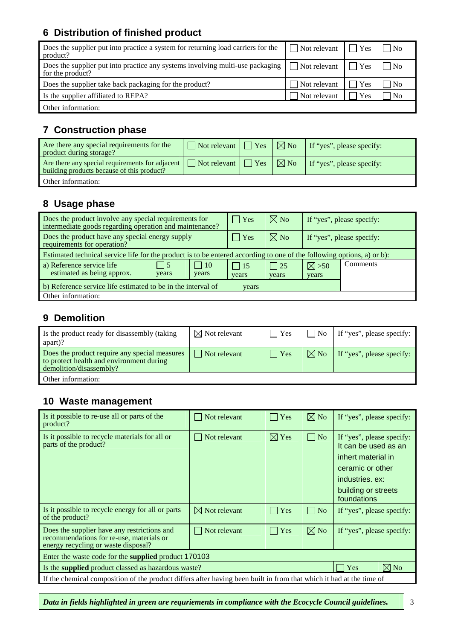## **6 Distribution of finished product**

| Does the supplier put into practice a system for returning load carriers for the<br>product?      | $\Box$ Not relevant $\Box$ | $\Box$ Yes         | $\overline{N_{0}}$ |
|---------------------------------------------------------------------------------------------------|----------------------------|--------------------|--------------------|
| Does the supplier put into practice any systems involving multi-use packaging<br>for the product? | $\Box$ Not relevant        | $\blacksquare$ Yes | $\overline{N_{0}}$ |
| Does the supplier take back packaging for the product?                                            | Not relevant               | Yes                | N <sub>0</sub>     |
| Is the supplier affiliated to REPA?                                                               | Not relevant               | Yes                | <b>No</b>          |
| Other information:                                                                                |                            |                    |                    |

### **7 Construction phase**

| Are there any special requirements for the<br>product during storage?                         | $\Box$ Not relevant $\Box$ Yes | $ \boxtimes$ No           | If "yes", please specify: |
|-----------------------------------------------------------------------------------------------|--------------------------------|---------------------------|---------------------------|
| Are there any special requirements for adjacent<br>building products because of this product? | $\Box$ Not relevant $\Box$ Yes | $\overline{\boxtimes}$ No | If "yes", please specify: |
| Other information:                                                                            |                                |                           |                           |

#### **8 Usage phase**

| Does the product involve any special requirements for<br>intermediate goods regarding operation and maintenance?       |                         |                     | $\vert$ Yes         | $\boxtimes$ No        | If "yes", please specify: |          |  |
|------------------------------------------------------------------------------------------------------------------------|-------------------------|---------------------|---------------------|-----------------------|---------------------------|----------|--|
| Does the product have any special energy supply<br>requirements for operation?                                         |                         |                     | $\vert$ Yes         | $\boxtimes$ No        | If "yes", please specify: |          |  |
| Estimated technical service life for the product is to be entered according to one of the following options, a) or b): |                         |                     |                     |                       |                           |          |  |
| a) Reference service life<br>estimated as being approx.                                                                | $\overline{5}$<br>years | $\vert$ 10<br>years | $\vert$ 15<br>years | $\vert$   25<br>years | $\boxtimes >50$<br>years  | Comments |  |
| b) Reference service life estimated to be in the interval of<br>years                                                  |                         |                     |                     |                       |                           |          |  |
| Other information:                                                                                                     |                         |                     |                     |                       |                           |          |  |

#### **9 Demolition**

| Is the product ready for disassembly (taking<br>apart)?                                                              | $\boxtimes$ Not relevant | Yes         | $\overline{N_{0}}$ | If "yes", please specify: |
|----------------------------------------------------------------------------------------------------------------------|--------------------------|-------------|--------------------|---------------------------|
| Does the product require any special measures<br>to protect health and environment during<br>demolition/disassembly? | Not relevant             | $\vert$ Yes | $\boxtimes$ No     | If "yes", please specify: |
| Other information:                                                                                                   |                          |             |                    |                           |

#### **10 Waste management**

| Is it possible to re-use all or parts of the<br>product?                                                                       | Not relevant             | $\Box$ Yes         | $\boxtimes$ No     | If "yes", please specify:                                                                                                                            |  |  |
|--------------------------------------------------------------------------------------------------------------------------------|--------------------------|--------------------|--------------------|------------------------------------------------------------------------------------------------------------------------------------------------------|--|--|
| Is it possible to recycle materials for all or<br>parts of the product?                                                        | Not relevant             | $\boxtimes$ Yes    | $\vert$   No       | If "yes", please specify:<br>It can be used as an<br>inhert material in<br>ceramic or other<br>industries. ex:<br>building or streets<br>foundations |  |  |
| Is it possible to recycle energy for all or parts<br>of the product?                                                           | $\boxtimes$ Not relevant | $\blacksquare$ Yes | $\vert$ $\vert$ No | If "yes", please specify:                                                                                                                            |  |  |
| Does the supplier have any restrictions and<br>recommendations for re-use, materials or<br>energy recycling or waste disposal? | Not relevant             | Yes<br>I.          | $\boxtimes$ No     | If "yes", please specify:                                                                                                                            |  |  |
| Enter the waste code for the supplied product 170103                                                                           |                          |                    |                    |                                                                                                                                                      |  |  |
| $\boxtimes$ No<br>Yes<br>Is the <b>supplied</b> product classed as hazardous waste?                                            |                          |                    |                    |                                                                                                                                                      |  |  |
| If the chemical composition of the product differs after having been built in from that which it had at the time of            |                          |                    |                    |                                                                                                                                                      |  |  |